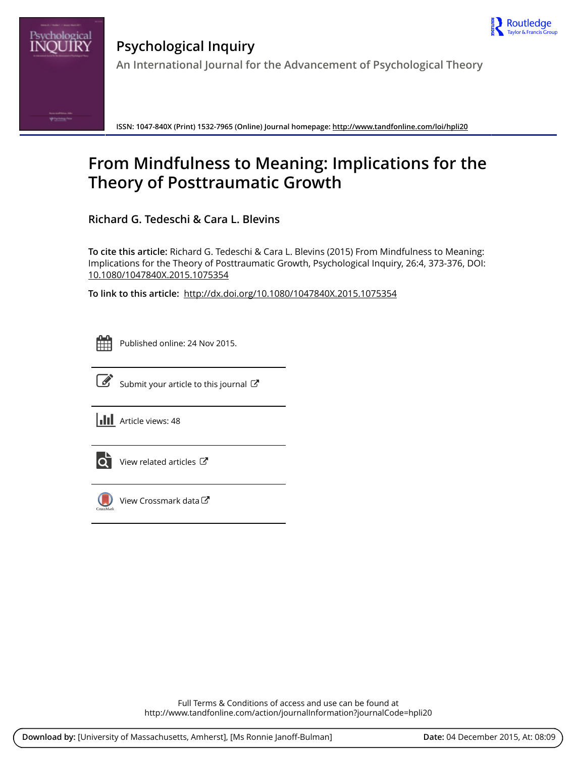



**Psychological Inquiry An International Journal for the Advancement of Psychological Theory**

**ISSN: 1047-840X (Print) 1532-7965 (Online) Journal homepage: <http://www.tandfonline.com/loi/hpli20>**

# **From Mindfulness to Meaning: Implications for the Theory of Posttraumatic Growth**

**Richard G. Tedeschi & Cara L. Blevins**

**To cite this article:** Richard G. Tedeschi & Cara L. Blevins (2015) From Mindfulness to Meaning: Implications for the Theory of Posttraumatic Growth, Psychological Inquiry, 26:4, 373-376, DOI: [10.1080/1047840X.2015.1075354](http://www.tandfonline.com/action/showCitFormats?doi=10.1080/1047840X.2015.1075354)

**To link to this article:** <http://dx.doi.org/10.1080/1047840X.2015.1075354>

| a.<br>-<br>_<br>- |  |  |  |  |  |
|-------------------|--|--|--|--|--|
|                   |  |  |  |  |  |
|                   |  |  |  |  |  |
|                   |  |  |  |  |  |

Published online: 24 Nov 2015.



 $\overline{\mathscr{L}}$  [Submit your article to this journal](http://www.tandfonline.com/action/authorSubmission?journalCode=hpli20&page=instructions)  $\mathbb{Z}$ 

**Article views: 48** 



 $\bullet$  [View related articles](http://www.tandfonline.com/doi/mlt/10.1080/1047840X.2015.1075354)  $\sigma$ 



[View Crossmark data](http://crossmark.crossref.org/dialog/?doi=10.1080/1047840X.2015.1075354&domain=pdf&date_stamp=2015-11-24)<sup>で</sup>

Full Terms & Conditions of access and use can be found at <http://www.tandfonline.com/action/journalInformation?journalCode=hpli20>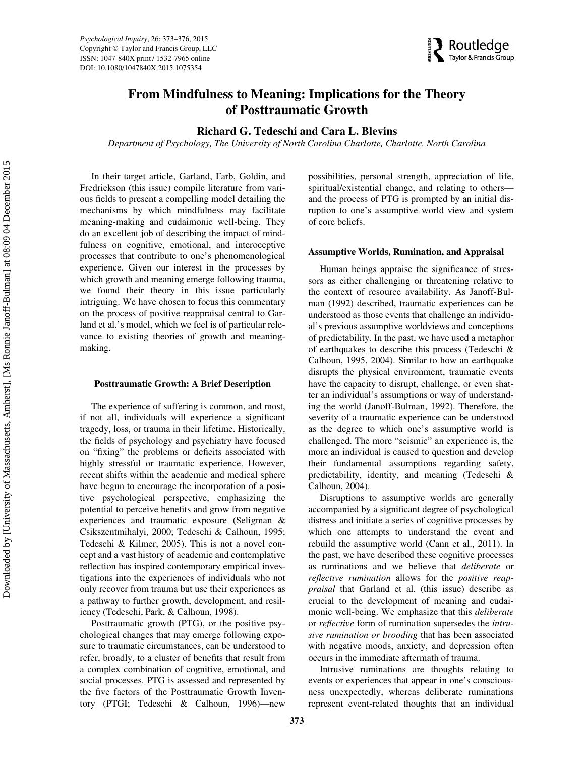Psychological Inquiry, 26: 373–376, 2015 Copyright © Taylor and Francis Group, LLC ISSN: 1047-840X print / 1532-7965 online DOI: 10.1080/1047840X.2015.1075354



## From Mindfulness to Meaning: Implications for the Theory of Posttraumatic Growth

### Richard G. Tedeschi and Cara L. Blevins

Department of Psychology, The University of North Carolina Charlotte, Charlotte, North Carolina

In their target article, Garland, Farb, Goldin, and Fredrickson (this issue) compile literature from various fields to present a compelling model detailing the mechanisms by which mindfulness may facilitate meaning-making and eudaimonic well-being. They do an excellent job of describing the impact of mindfulness on cognitive, emotional, and interoceptive processes that contribute to one's phenomenological experience. Given our interest in the processes by which growth and meaning emerge following trauma, we found their theory in this issue particularly intriguing. We have chosen to focus this commentary on the process of positive reappraisal central to Garland et al.'s model, which we feel is of particular relevance to existing theories of growth and meaningmaking.

#### Posttraumatic Growth: A Brief Description

The experience of suffering is common, and most, if not all, individuals will experience a significant tragedy, loss, or trauma in their lifetime. Historically, the fields of psychology and psychiatry have focused on "fixing" the problems or deficits associated with highly stressful or traumatic experience. However, recent shifts within the academic and medical sphere have begun to encourage the incorporation of a positive psychological perspective, emphasizing the potential to perceive benefits and grow from negative experiences and traumatic exposure (Seligman & Csikszentmihalyi, 2000; Tedeschi & Calhoun, 1995; Tedeschi & Kilmer, 2005). This is not a novel concept and a vast history of academic and contemplative reflection has inspired contemporary empirical investigations into the experiences of individuals who not only recover from trauma but use their experiences as a pathway to further growth, development, and resiliency (Tedeschi, Park, & Calhoun, 1998).

Posttraumatic growth (PTG), or the positive psychological changes that may emerge following exposure to traumatic circumstances, can be understood to refer, broadly, to a cluster of benefits that result from a complex combination of cognitive, emotional, and social processes. PTG is assessed and represented by the five factors of the Posttraumatic Growth Inventory (PTGI; Tedeschi & Calhoun, 1996)—new

possibilities, personal strength, appreciation of life, spiritual/existential change, and relating to others and the process of PTG is prompted by an initial disruption to one's assumptive world view and system of core beliefs.

#### Assumptive Worlds, Rumination, and Appraisal

Human beings appraise the significance of stressors as either challenging or threatening relative to the context of resource availability. As Janoff-Bulman (1992) described, traumatic experiences can be understood as those events that challenge an individual's previous assumptive worldviews and conceptions of predictability. In the past, we have used a metaphor of earthquakes to describe this process (Tedeschi & Calhoun, 1995, 2004). Similar to how an earthquake disrupts the physical environment, traumatic events have the capacity to disrupt, challenge, or even shatter an individual's assumptions or way of understanding the world (Janoff-Bulman, 1992). Therefore, the severity of a traumatic experience can be understood as the degree to which one's assumptive world is challenged. The more "seismic" an experience is, the more an individual is caused to question and develop their fundamental assumptions regarding safety, predictability, identity, and meaning (Tedeschi & Calhoun, 2004).

Disruptions to assumptive worlds are generally accompanied by a significant degree of psychological distress and initiate a series of cognitive processes by which one attempts to understand the event and rebuild the assumptive world (Cann et al., 2011). In the past, we have described these cognitive processes as ruminations and we believe that deliberate or reflective rumination allows for the positive reappraisal that Garland et al. (this issue) describe as crucial to the development of meaning and eudaimonic well-being. We emphasize that this deliberate or reflective form of rumination supersedes the intrusive rumination or brooding that has been associated with negative moods, anxiety, and depression often occurs in the immediate aftermath of trauma.

Intrusive ruminations are thoughts relating to events or experiences that appear in one's consciousness unexpectedly, whereas deliberate ruminations represent event-related thoughts that an individual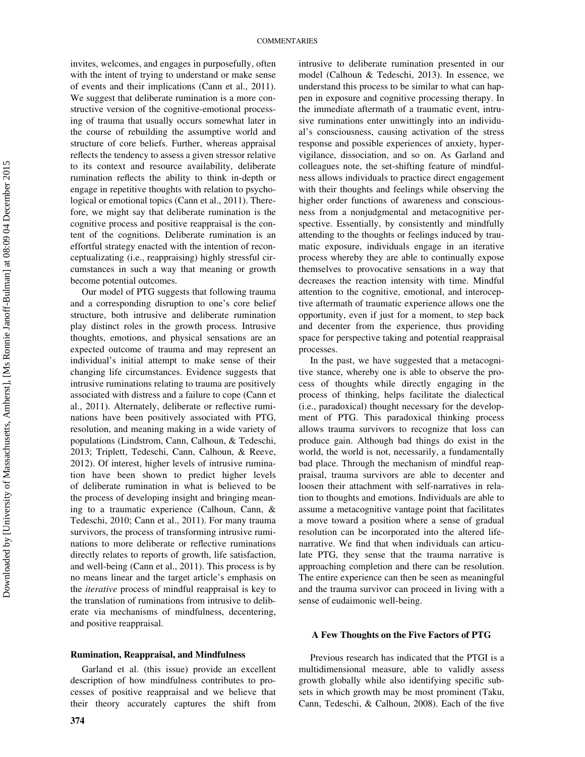invites, welcomes, and engages in purposefully, often with the intent of trying to understand or make sense of events and their implications (Cann et al., 2011). We suggest that deliberate rumination is a more constructive version of the cognitive-emotional processing of trauma that usually occurs somewhat later in the course of rebuilding the assumptive world and structure of core beliefs. Further, whereas appraisal reflects the tendency to assess a given stressor relative to its context and resource availability, deliberate rumination reflects the ability to think in-depth or engage in repetitive thoughts with relation to psychological or emotional topics (Cann et al., 2011). Therefore, we might say that deliberate rumination is the cognitive process and positive reappraisal is the content of the cognitions. Deliberate rumination is an effortful strategy enacted with the intention of reconceptualizating (i.e., reappraising) highly stressful circumstances in such a way that meaning or growth become potential outcomes.

Our model of PTG suggests that following trauma and a corresponding disruption to one's core belief structure, both intrusive and deliberate rumination play distinct roles in the growth process. Intrusive thoughts, emotions, and physical sensations are an expected outcome of trauma and may represent an individual's initial attempt to make sense of their changing life circumstances. Evidence suggests that intrusive ruminations relating to trauma are positively associated with distress and a failure to cope (Cann et al., 2011). Alternately, deliberate or reflective ruminations have been positively associated with PTG, resolution, and meaning making in a wide variety of populations (Lindstrom, Cann, Calhoun, & Tedeschi, 2013; Triplett, Tedeschi, Cann, Calhoun, & Reeve, 2012). Of interest, higher levels of intrusive rumination have been shown to predict higher levels of deliberate rumination in what is believed to be the process of developing insight and bringing meaning to a traumatic experience (Calhoun, Cann, & Tedeschi, 2010; Cann et al., 2011). For many trauma survivors, the process of transforming intrusive ruminations to more deliberate or reflective ruminations directly relates to reports of growth, life satisfaction, and well-being (Cann et al., 2011). This process is by no means linear and the target article's emphasis on the iterative process of mindful reappraisal is key to the translation of ruminations from intrusive to deliberate via mechanisms of mindfulness, decentering, and positive reappraisal.

#### Rumination, Reappraisal, and Mindfulness

Garland et al. (this issue) provide an excellent description of how mindfulness contributes to processes of positive reappraisal and we believe that their theory accurately captures the shift from

intrusive to deliberate rumination presented in our model (Calhoun & Tedeschi, 2013). In essence, we understand this process to be similar to what can happen in exposure and cognitive processing therapy. In the immediate aftermath of a traumatic event, intrusive ruminations enter unwittingly into an individual's consciousness, causing activation of the stress response and possible experiences of anxiety, hypervigilance, dissociation, and so on. As Garland and colleagues note, the set-shifting feature of mindfulness allows individuals to practice direct engagement with their thoughts and feelings while observing the higher order functions of awareness and consciousness from a nonjudgmental and metacognitive perspective. Essentially, by consistently and mindfully attending to the thoughts or feelings induced by traumatic exposure, individuals engage in an iterative process whereby they are able to continually expose themselves to provocative sensations in a way that decreases the reaction intensity with time. Mindful attention to the cognitive, emotional, and interoceptive aftermath of traumatic experience allows one the opportunity, even if just for a moment, to step back and decenter from the experience, thus providing space for perspective taking and potential reappraisal processes.

In the past, we have suggested that a metacognitive stance, whereby one is able to observe the process of thoughts while directly engaging in the process of thinking, helps facilitate the dialectical (i.e., paradoxical) thought necessary for the development of PTG. This paradoxical thinking process allows trauma survivors to recognize that loss can produce gain. Although bad things do exist in the world, the world is not, necessarily, a fundamentally bad place. Through the mechanism of mindful reappraisal, trauma survivors are able to decenter and loosen their attachment with self-narratives in relation to thoughts and emotions. Individuals are able to assume a metacognitive vantage point that facilitates a move toward a position where a sense of gradual resolution can be incorporated into the altered lifenarrative. We find that when individuals can articulate PTG, they sense that the trauma narrative is approaching completion and there can be resolution. The entire experience can then be seen as meaningful and the trauma survivor can proceed in living with a sense of eudaimonic well-being.

#### A Few Thoughts on the Five Factors of PTG

Previous research has indicated that the PTGI is a multidimensional measure, able to validly assess growth globally while also identifying specific subsets in which growth may be most prominent (Taku, Cann, Tedeschi, & Calhoun, 2008). Each of the five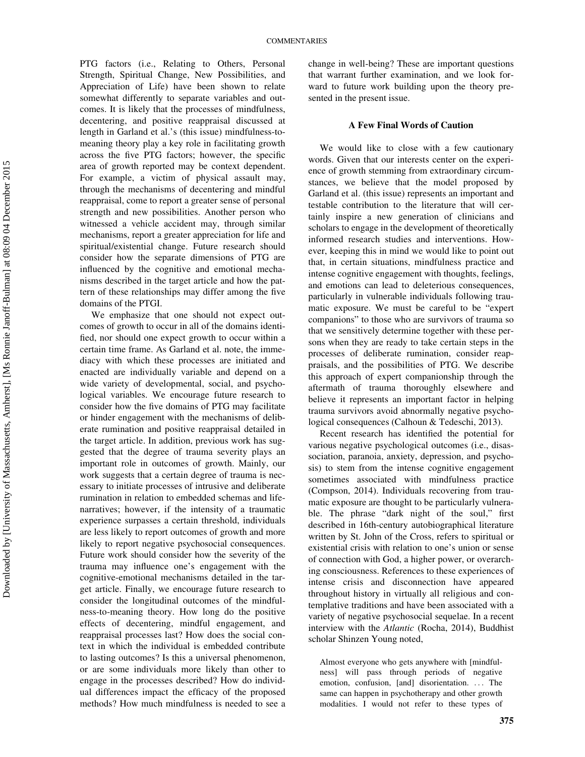PTG factors (i.e., Relating to Others, Personal Strength, Spiritual Change, New Possibilities, and Appreciation of Life) have been shown to relate somewhat differently to separate variables and outcomes. It is likely that the processes of mindfulness, decentering, and positive reappraisal discussed at length in Garland et al.'s (this issue) mindfulness-tomeaning theory play a key role in facilitating growth across the five PTG factors; however, the specific area of growth reported may be context dependent. For example, a victim of physical assault may, through the mechanisms of decentering and mindful reappraisal, come to report a greater sense of personal strength and new possibilities. Another person who witnessed a vehicle accident may, through similar mechanisms, report a greater appreciation for life and spiritual/existential change. Future research should consider how the separate dimensions of PTG are influenced by the cognitive and emotional mechanisms described in the target article and how the pattern of these relationships may differ among the five domains of the PTGI.

We emphasize that one should not expect outcomes of growth to occur in all of the domains identified, nor should one expect growth to occur within a certain time frame. As Garland et al. note, the immediacy with which these processes are initiated and enacted are individually variable and depend on a wide variety of developmental, social, and psychological variables. We encourage future research to consider how the five domains of PTG may facilitate or hinder engagement with the mechanisms of deliberate rumination and positive reappraisal detailed in the target article. In addition, previous work has suggested that the degree of trauma severity plays an important role in outcomes of growth. Mainly, our work suggests that a certain degree of trauma is necessary to initiate processes of intrusive and deliberate rumination in relation to embedded schemas and lifenarratives; however, if the intensity of a traumatic experience surpasses a certain threshold, individuals are less likely to report outcomes of growth and more likely to report negative psychosocial consequences. Future work should consider how the severity of the trauma may influence one's engagement with the cognitive-emotional mechanisms detailed in the target article. Finally, we encourage future research to consider the longitudinal outcomes of the mindfulness-to-meaning theory. How long do the positive effects of decentering, mindful engagement, and reappraisal processes last? How does the social context in which the individual is embedded contribute to lasting outcomes? Is this a universal phenomenon, or are some individuals more likely than other to engage in the processes described? How do individual differences impact the efficacy of the proposed methods? How much mindfulness is needed to see a

change in well-being? These are important questions that warrant further examination, and we look forward to future work building upon the theory presented in the present issue.

#### A Few Final Words of Caution

We would like to close with a few cautionary words. Given that our interests center on the experience of growth stemming from extraordinary circumstances, we believe that the model proposed by Garland et al. (this issue) represents an important and testable contribution to the literature that will certainly inspire a new generation of clinicians and scholars to engage in the development of theoretically informed research studies and interventions. However, keeping this in mind we would like to point out that, in certain situations, mindfulness practice and intense cognitive engagement with thoughts, feelings, and emotions can lead to deleterious consequences, particularly in vulnerable individuals following traumatic exposure. We must be careful to be "expert companions" to those who are survivors of trauma so that we sensitively determine together with these persons when they are ready to take certain steps in the processes of deliberate rumination, consider reappraisals, and the possibilities of PTG. We describe this approach of expert companionship through the aftermath of trauma thoroughly elsewhere and believe it represents an important factor in helping trauma survivors avoid abnormally negative psychological consequences (Calhoun & Tedeschi, 2013).

Recent research has identified the potential for various negative psychological outcomes (i.e., disassociation, paranoia, anxiety, depression, and psychosis) to stem from the intense cognitive engagement sometimes associated with mindfulness practice (Compson, 2014). Individuals recovering from traumatic exposure are thought to be particularly vulnerable. The phrase "dark night of the soul," first described in 16th-century autobiographical literature written by St. John of the Cross, refers to spiritual or existential crisis with relation to one's union or sense of connection with God, a higher power, or overarching consciousness. References to these experiences of intense crisis and disconnection have appeared throughout history in virtually all religious and contemplative traditions and have been associated with a variety of negative psychosocial sequelae. In a recent interview with the Atlantic (Rocha, 2014), Buddhist scholar Shinzen Young noted,

Almost everyone who gets anywhere with [mindfulness] will pass through periods of negative emotion, confusion, [and] disorientation. ... The same can happen in psychotherapy and other growth modalities. I would not refer to these types of